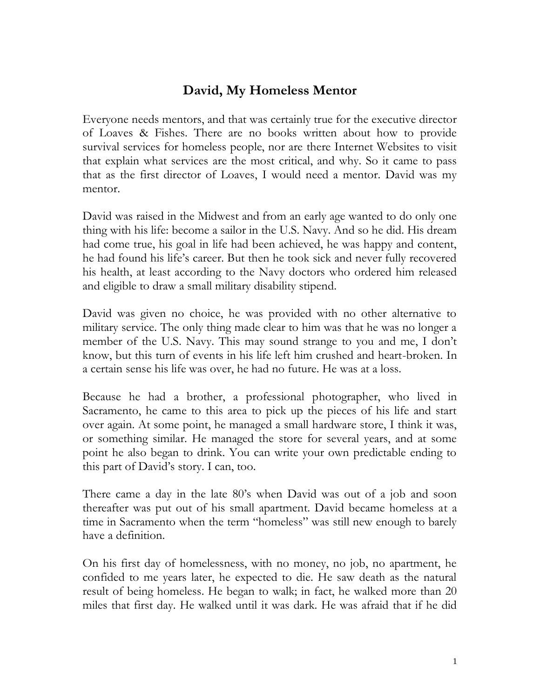## **David, My Homeless Mentor**

Everyone needs mentors, and that was certainly true for the executive director of Loaves & Fishes. There are no books written about how to provide survival services for homeless people, nor are there Internet Websites to visit that explain what services are the most critical, and why. So it came to pass that as the first director of Loaves, I would need a mentor. David was my mentor.

David was raised in the Midwest and from an early age wanted to do only one thing with his life: become a sailor in the U.S. Navy. And so he did. His dream had come true, his goal in life had been achieved, he was happy and content, he had found his life's career. But then he took sick and never fully recovered his health, at least according to the Navy doctors who ordered him released and eligible to draw a small military disability stipend.

David was given no choice, he was provided with no other alternative to military service. The only thing made clear to him was that he was no longer a member of the U.S. Navy. This may sound strange to you and me, I don't know, but this turn of events in his life left him crushed and heart-broken. In a certain sense his life was over, he had no future. He was at a loss.

Because he had a brother, a professional photographer, who lived in Sacramento, he came to this area to pick up the pieces of his life and start over again. At some point, he managed a small hardware store, I think it was, or something similar. He managed the store for several years, and at some point he also began to drink. You can write your own predictable ending to this part of David's story. I can, too.

There came a day in the late 80's when David was out of a job and soon thereafter was put out of his small apartment. David became homeless at a time in Sacramento when the term "homeless" was still new enough to barely have a definition.

On his first day of homelessness, with no money, no job, no apartment, he confided to me years later, he expected to die. He saw death as the natural result of being homeless. He began to walk; in fact, he walked more than 20 miles that first day. He walked until it was dark. He was afraid that if he did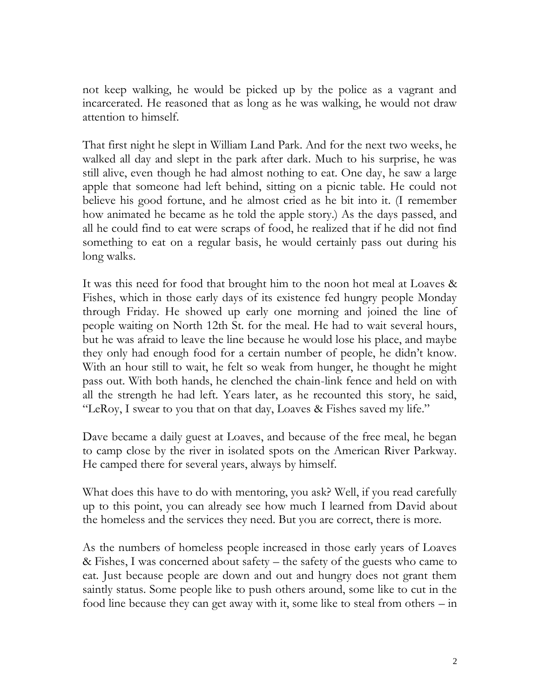not keep walking, he would be picked up by the police as a vagrant and incarcerated. He reasoned that as long as he was walking, he would not draw attention to himself.

That first night he slept in William Land Park. And for the next two weeks, he walked all day and slept in the park after dark. Much to his surprise, he was still alive, even though he had almost nothing to eat. One day, he saw a large apple that someone had left behind, sitting on a picnic table. He could not believe his good fortune, and he almost cried as he bit into it. (I remember how animated he became as he told the apple story.) As the days passed, and all he could find to eat were scraps of food, he realized that if he did not find something to eat on a regular basis, he would certainly pass out during his long walks.

It was this need for food that brought him to the noon hot meal at Loaves & Fishes, which in those early days of its existence fed hungry people Monday through Friday. He showed up early one morning and joined the line of people waiting on North 12th St. for the meal. He had to wait several hours, but he was afraid to leave the line because he would lose his place, and maybe they only had enough food for a certain number of people, he didn't know. With an hour still to wait, he felt so weak from hunger, he thought he might pass out. With both hands, he clenched the chain-link fence and held on with all the strength he had left. Years later, as he recounted this story, he said, "LeRoy, I swear to you that on that day, Loaves & Fishes saved my life."

Dave became a daily guest at Loaves, and because of the free meal, he began to camp close by the river in isolated spots on the American River Parkway. He camped there for several years, always by himself.

What does this have to do with mentoring, you ask? Well, if you read carefully up to this point, you can already see how much I learned from David about the homeless and the services they need. But you are correct, there is more.

As the numbers of homeless people increased in those early years of Loaves & Fishes, I was concerned about safety – the safety of the guests who came to eat. Just because people are down and out and hungry does not grant them saintly status. Some people like to push others around, some like to cut in the food line because they can get away with it, some like to steal from others – in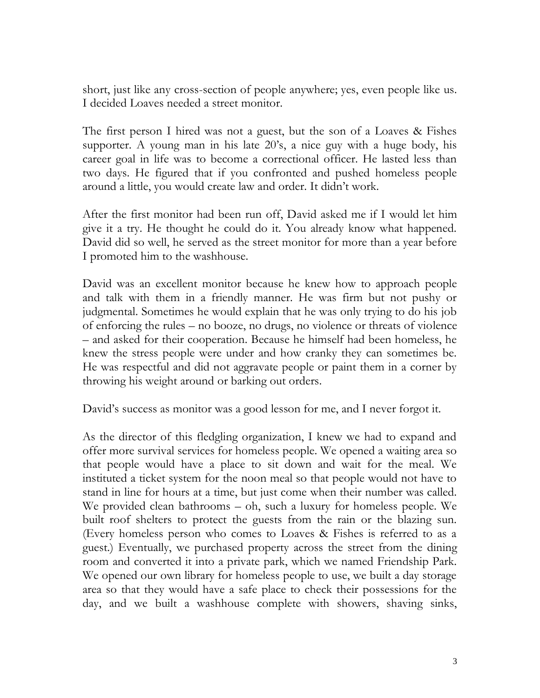short, just like any cross-section of people anywhere; yes, even people like us. I decided Loaves needed a street monitor.

The first person I hired was not a guest, but the son of a Loaves & Fishes supporter. A young man in his late 20's, a nice guy with a huge body, his career goal in life was to become a correctional officer. He lasted less than two days. He figured that if you confronted and pushed homeless people around a little, you would create law and order. It didn't work.

After the first monitor had been run off, David asked me if I would let him give it a try. He thought he could do it. You already know what happened. David did so well, he served as the street monitor for more than a year before I promoted him to the washhouse.

David was an excellent monitor because he knew how to approach people and talk with them in a friendly manner. He was firm but not pushy or judgmental. Sometimes he would explain that he was only trying to do his job of enforcing the rules – no booze, no drugs, no violence or threats of violence – and asked for their cooperation. Because he himself had been homeless, he knew the stress people were under and how cranky they can sometimes be. He was respectful and did not aggravate people or paint them in a corner by throwing his weight around or barking out orders.

David's success as monitor was a good lesson for me, and I never forgot it.

As the director of this fledgling organization, I knew we had to expand and offer more survival services for homeless people. We opened a waiting area so that people would have a place to sit down and wait for the meal. We instituted a ticket system for the noon meal so that people would not have to stand in line for hours at a time, but just come when their number was called. We provided clean bathrooms – oh, such a luxury for homeless people. We built roof shelters to protect the guests from the rain or the blazing sun. (Every homeless person who comes to Loaves & Fishes is referred to as a guest.) Eventually, we purchased property across the street from the dining room and converted it into a private park, which we named Friendship Park. We opened our own library for homeless people to use, we built a day storage area so that they would have a safe place to check their possessions for the day, and we built a washhouse complete with showers, shaving sinks,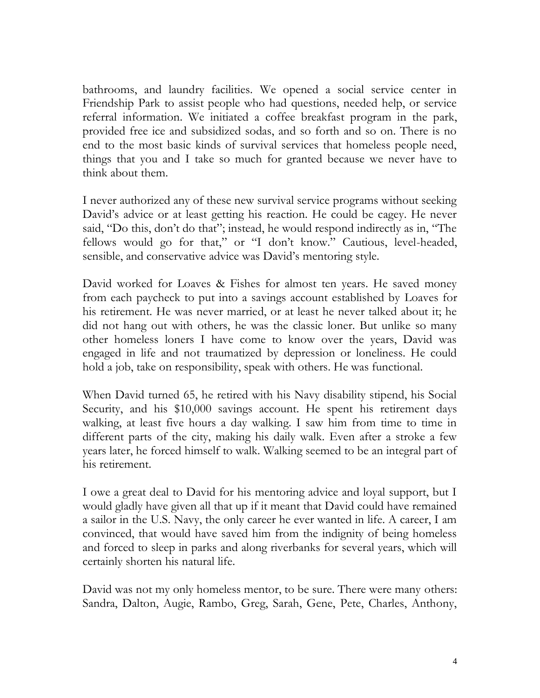bathrooms, and laundry facilities. We opened a social service center in Friendship Park to assist people who had questions, needed help, or service referral information. We initiated a coffee breakfast program in the park, provided free ice and subsidized sodas, and so forth and so on. There is no end to the most basic kinds of survival services that homeless people need, things that you and I take so much for granted because we never have to think about them.

I never authorized any of these new survival service programs without seeking David's advice or at least getting his reaction. He could be cagey. He never said, "Do this, don't do that"; instead, he would respond indirectly as in, "The fellows would go for that," or "I don't know." Cautious, level-headed, sensible, and conservative advice was David's mentoring style.

David worked for Loaves & Fishes for almost ten years. He saved money from each paycheck to put into a savings account established by Loaves for his retirement. He was never married, or at least he never talked about it; he did not hang out with others, he was the classic loner. But unlike so many other homeless loners I have come to know over the years, David was engaged in life and not traumatized by depression or loneliness. He could hold a job, take on responsibility, speak with others. He was functional.

When David turned 65, he retired with his Navy disability stipend, his Social Security, and his \$10,000 savings account. He spent his retirement days walking, at least five hours a day walking. I saw him from time to time in different parts of the city, making his daily walk. Even after a stroke a few years later, he forced himself to walk. Walking seemed to be an integral part of his retirement.

I owe a great deal to David for his mentoring advice and loyal support, but I would gladly have given all that up if it meant that David could have remained a sailor in the U.S. Navy, the only career he ever wanted in life. A career, I am convinced, that would have saved him from the indignity of being homeless and forced to sleep in parks and along riverbanks for several years, which will certainly shorten his natural life.

David was not my only homeless mentor, to be sure. There were many others: Sandra, Dalton, Augie, Rambo, Greg, Sarah, Gene, Pete, Charles, Anthony,